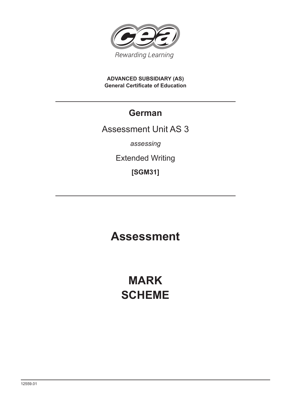

**ADVANCED SUBSIDIARY (AS) General Certificate of Education**

## **German**

### Assessment Unit AS 3

*assessing*

Extended Writing

**[SGM31]**

## **Assessment**

# **MARK SCHEME**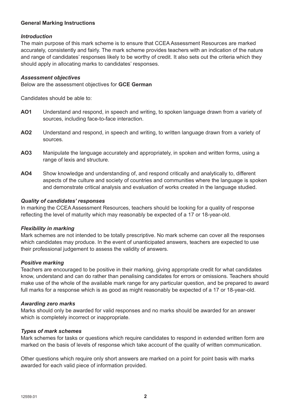#### **General Marking Instructions**

#### *Introduction*

The main purpose of this mark scheme is to ensure that CCEA Assessment Resources are marked accurately, consistently and fairly. The mark scheme provides teachers with an indication of the nature and range of candidates' responses likely to be worthy of credit. It also sets out the criteria which they should apply in allocating marks to candidates' responses.

#### *Assessment objectives*

Below are the assessment objectives for **GCE German**

Candidates should be able to:

- **AO1** Understand and respond, in speech and writing, to spoken language drawn from a variety of sources, including face-to-face interaction.
- **AO2** Understand and respond, in speech and writing, to written language drawn from a variety of sources.
- **AO3** Manipulate the language accurately and appropriately, in spoken and written forms, using a range of lexis and structure.
- **AO4** Show knowledge and understanding of, and respond critically and analytically to, different aspects of the culture and society of countries and communities where the language is spoken and demonstrate critical analysis and evaluation of works created in the language studied.

#### *Quality of candidates' responses*

In marking the CCEA Assessment Resources, teachers should be looking for a quality of response reflecting the level of maturity which may reasonably be expected of a 17 or 18-year-old.

#### *Flexibility in marking*

Mark schemes are not intended to be totally prescriptive. No mark scheme can cover all the responses which candidates may produce. In the event of unanticipated answers, teachers are expected to use their professional judgement to assess the validity of answers.

#### *Positive marking*

Teachers are encouraged to be positive in their marking, giving appropriate credit for what candidates know, understand and can do rather than penalising candidates for errors or omissions. Teachers should make use of the whole of the available mark range for any particular question, and be prepared to award full marks for a response which is as good as might reasonably be expected of a 17 or 18-year-old.

#### *Awarding zero marks*

Marks should only be awarded for valid responses and no marks should be awarded for an answer which is completely incorrect or inappropriate.

#### *Types of mark schemes*

Mark schemes for tasks or questions which require candidates to respond in extended written form are marked on the basis of levels of response which take account of the quality of written communication.

Other questions which require only short answers are marked on a point for point basis with marks awarded for each valid piece of information provided.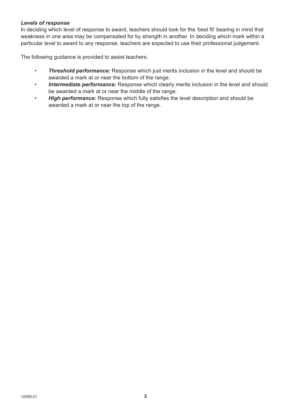#### *Levels of response*

In deciding which level of response to award, teachers should look for the 'best fit' bearing in mind that weakness in one area may be compensated for by strength in another. In deciding which mark within a particular level to award to any response, teachers are expected to use their professional judgement.

The following guidance is provided to assist teachers.

- *Threshold performance:* Response which just merits inclusion in the level and should be awarded a mark at or near the bottom of the range.
- • *Intermediate performance:* Response which clearly merits inclusion in the level and should be awarded a mark at or near the middle of the range.
- *High performance:* Response which fully satisfies the level description and should be awarded a mark at or near the top of the range.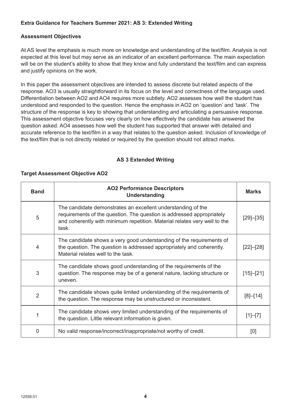#### **Extra Guidance for Teachers Summer 2021: AS 3: Extended Writing**

#### **Assessment Objectives**

At AS level the emphasis is much more on knowledge and understanding of the text/film. Analysis is not expected at this level but may serve as an indicator of an excellent performance. The main expectation will be on the student's ability to show that they know and fully understand the text/film and can express and justify opinions on the work.

In this paper the assessment objectives are intended to assess discrete but related aspects of the response. AO3 is usually straightforward in its focus on the level and correctness of the language used. Differentiation between AO2 and AO4 requires more subtlety. AO2 assesses how well the student has understood and responded to the question. Hence the emphasis in AO2 on 'question' and 'task'. The structure of the response is key to showing that understanding and articulating a persuasive response. This assessment objective focuses very clearly on how effectively the candidate has answered the question asked. AO4 assesses how well the student has supported that answer with detailed and accurate reference to the text/film in a way that relates to the question asked. Inclusion of knowledge of the text/film that is not directly related or required by the question should not attract marks.

#### **AS 3 Extended Writing**

#### **Target Assessment Objective AO2**

| <b>Band</b>    | <b>AO2 Performance Descriptors</b><br><b>Understanding</b>                                                                                                                                                                  | <b>Marks</b>    |
|----------------|-----------------------------------------------------------------------------------------------------------------------------------------------------------------------------------------------------------------------------|-----------------|
| 5              | The candidate demonstrates an excellent understanding of the<br>requirements of the question. The question is addressed appropriately<br>and coherently with minimum repetition. Material relates very well to the<br>task. | $[29]$ - $[35]$ |
| $\overline{4}$ | The candidate shows a very good understanding of the requirements of<br>the question. The question is addressed appropriately and coherently.<br>Material relates well to the task.                                         | $[22]$ - $[28]$ |
| 3              | The candidate shows good understanding of the requirements of the<br>question. The response may be of a general nature, lacking structure or<br>uneven.                                                                     | $[15] - [21]$   |
| 2              | The candidate shows quite limited understanding of the requirements of<br>the question. The response may be unstructured or inconsistent.                                                                                   | $[8] - [14]$    |
|                | The candidate shows very limited understanding of the requirements of<br>the question. Little relevant information is given.                                                                                                | $[1]-[7]$       |
| 0              | No valid response/incorrect/inappropriate/not worthy of credit.                                                                                                                                                             | [0]             |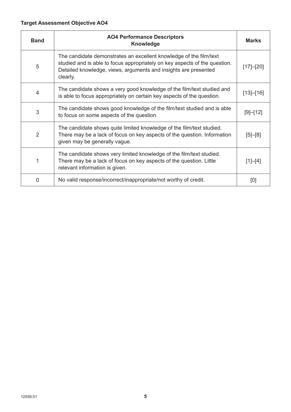#### **Target Assessment Objective AO4**

| <b>Band</b>    | <b>AO4 Performance Descriptors</b><br><b>Knowledge</b>                                                                                                                                                                          | <b>Marks</b>  |
|----------------|---------------------------------------------------------------------------------------------------------------------------------------------------------------------------------------------------------------------------------|---------------|
| 5              | The candidate demonstrates an excellent knowledge of the film/text<br>studied and is able to focus appropriately on key aspects of the question.<br>Detailed knowledge, views, arguments and insights are presented<br>clearly. | $[17] - [20]$ |
| 4              | The candidate shows a very good knowledge of the film/text studied and<br>is able to focus appropriately on certain key aspects of the question.                                                                                | $[13] - [16]$ |
| 3              | The candidate shows good knowledge of the film/text studied and is able<br>to focus on some aspects of the question.                                                                                                            | [9]–[12]      |
| $\overline{2}$ | The candidate shows quite limited knowledge of the film/text studied.<br>There may be a lack of focus on key aspects of the question. Information<br>given may be generally vague.                                              | $[5] - [8]$   |
|                | The candidate shows very limited knowledge of the film/text studied.<br>There may be a lack of focus on key aspects of the question. Little<br>relevant information is given.                                                   | $[1]-[4]$     |
| 0              | No valid response/incorrect/inappropriate/not worthy of credit.                                                                                                                                                                 | [0]           |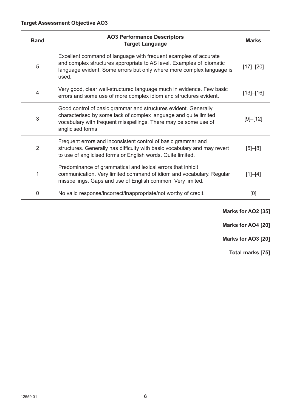| <b>Band</b>    | <b>AO3 Performance Descriptors</b><br><b>Target Language</b>                                                                                                                                                                | <b>Marks</b>  |
|----------------|-----------------------------------------------------------------------------------------------------------------------------------------------------------------------------------------------------------------------------|---------------|
| 5              | Excellent command of language with frequent examples of accurate<br>and complex structures appropriate to AS level. Examples of idiomatic<br>language evident. Some errors but only where more complex language is<br>used. | [17]–[20]     |
| 4              | Very good, clear well-structured language much in evidence. Few basic<br>errors and some use of more complex idiom and structures evident.                                                                                  | $[13] - [16]$ |
| 3              | Good control of basic grammar and structures evident. Generally<br>characterised by some lack of complex language and quite limited<br>vocabulary with frequent misspellings. There may be some use of<br>anglicised forms. | [9]–[12]      |
| $\overline{2}$ | Frequent errors and inconsistent control of basic grammar and<br>structures. Generally has difficulty with basic vocabulary and may revert<br>to use of anglicised forms or English words. Quite limited.                   | $[5] - [8]$   |
| 1              | Predominance of grammatical and lexical errors that inhibit<br>communication. Very limited command of idiom and vocabulary. Regular<br>misspellings. Gaps and use of English common. Very limited.                          | $[1]-[4]$     |
| $\Omega$       | No valid response/incorrect/inappropriate/not worthy of credit.                                                                                                                                                             | [0]           |

**Marks for AO2 [35]**

**Marks for AO4 [20]**

**Marks for AO3 [20]**

**Total marks [75]**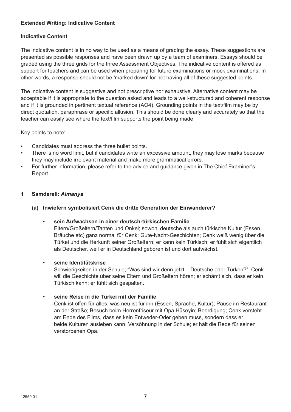#### **Extended Writing: Indicative Content**

#### **Indicative Content**

The indicative content is in no way to be used as a means of grading the essay. These suggestions are presented as possible responses and have been drawn up by a team of examiners. Essays should be graded using the three grids for the three Assessment Objectives. The indicative content is offered as support for teachers and can be used when preparing for future examinations or mock examinations. In other words, a response should not be 'marked down' for not having all of these suggested points.

The indicative content is suggestive and not prescriptive nor exhaustive. Alternative content may be acceptable if it is appropriate to the question asked and leads to a well-structured and coherent response and if it is grounded in pertinent textual reference (AO4). Grounding points in the text/film may be by direct quotation, paraphrase or specific allusion. This should be done clearly and accurately so that the teacher can easily see where the text/film supports the point being made.

Key points to note:

- Candidates must address the three bullet points.
- There is no word limit, but if candidates write an excessive amount, they may lose marks because they may include irrelevant material and make more grammatical errors.
- For further information, please refer to the advice and guidance given in The Chief Examiner's Report.

#### **1 Samdereli:** *Almanya*

**(a) Inwiefern symbolisiert Cenk die dritte Generation der Einwanderer?**

#### • **sein Aufwachsen in einer deutsch-türkischen Familie**

Eltern/Großeltern/Tanten und Onkel; sowohl deutsche als auch türkische Kultur (Essen, Bräuche etc) ganz normal für Cenk; Gute-Nacht-Geschichten; Cenk weiß wenig über die Türkei und die Herkunft seiner Großeltern; er kann kein Türkisch; er fühlt sich eigentlich als Deutscher, weil er in Deutschland geboren ist und dort aufwächst.

#### • **seine Identitätskrise**

Schwierigkeiten in der Schule; "Was sind wir denn jetzt – Deutsche oder Türken?"; Cenk will die Geschichte über seine Eltern und Großeltern hören; er schämt sich, dass er kein Türkisch kann; er fühlt sich gespalten.

#### • **seine Reise in die Türkei mit der Familie**

Cenk ist offen für alles, was neu ist für ihn (Essen, Sprache, Kultur); Pause im Restaurant an der Straße; Besuch beim Herrenfriseur mit Opa Hüseyin; Beerdigung; Cenk versteht am Ende des Films, dass es kein Entweder-Oder geben muss, sondern dass er beide Kulturen ausleben kann; Versöhnung in der Schule; er hält die Rede für seinen verstorbenen Opa.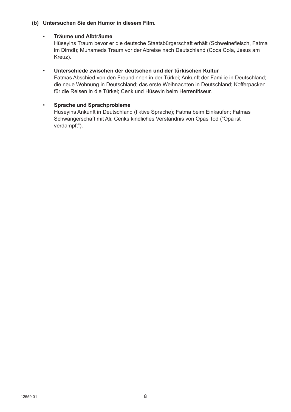#### **(b) Untersuchen Sie den Humor in diesem Film.**

#### • **Träume und Albträume**

Hüseyins Traum bevor er die deutsche Staatsbürgerschaft erhält (Schweinefleisch, Fatma im Dirndl); Muhameds Traum vor der Abreise nach Deutschland (Coca Cola, Jesus am Kreuz).

#### • **Unterschiede zwischen der deutschen und der türkischen Kultur**

Fatmas Abschied von den Freundinnen in der Türkei; Ankunft der Familie in Deutschland; die neue Wohnung in Deutschland; das erste Weihnachten in Deutschland; Kofferpacken für die Reisen in die Türkei; Cenk und Hüseyin beim Herrenfriseur.

#### • **Sprache und Sprachprobleme**

Hüseyins Ankunft in Deutschland (fiktive Sprache); Fatma beim Einkaufen; Fatmas Schwangerschaft mit Ali; Cenks kindliches Verständnis von Opas Tod ("Opa ist verdampft").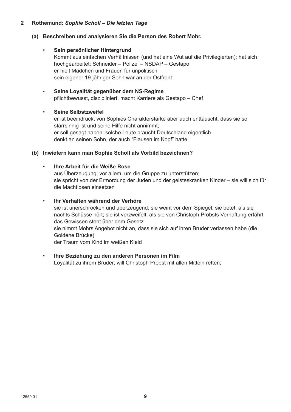#### **2 Rothemund:** *Sophie Scholl – Die letzten Tage*

#### **(a) Beschreiben und analysieren Sie die Person des Robert Mohr.**

- **Sein persönlicher Hintergrund** Kommt aus einfachen Verhältnissen (und hat eine Wut auf die Privilegierten); hat sich hochgearbeitet: Schneider – Polizei – NSDAP – Gestapo er hielt Mädchen und Frauen für unpolitisch sein eigener 19-jähriger Sohn war an der Ostfront
- **Seine Loyalität gegenüber dem NS-Regime** pflichtbewusst, diszipliniert, macht Karriere als Gestapo – Chef

#### • **Seine Selbstzweifel**

er ist beeindruckt von Sophies Charakterstärke aber auch enttäuscht, dass sie so starrsinnig ist und seine Hilfe nicht annimmt; er soll gesagt haben: solche Leute braucht Deutschland eigentlich denkt an seinen Sohn, der auch "Flausen im Kopf" hatte

#### **(b) Inwiefern kann man Sophie Scholl als Vorbild bezeichnen?**

### • **Ihre Arbeit für die Weiße Rose**

aus Überzeugung; vor allem, um die Gruppe zu unterstützen; sie spricht von der Ermordung der Juden und der geisteskranken Kinder – sie will sich für die Machtlosen einsetzen

#### • **Ihr Verhalten während der Verhöre**

sie ist unerschrocken und überzeugend; sie weint vor dem Spiegel; sie betet, als sie nachts Schüsse hört; sie ist verzweifelt, als sie von Christoph Probsts Verhaftung erfährt das Gewissen steht über dem Gesetz sie nimmt Mohrs Angebot nicht an, dass sie sich auf ihren Bruder verlassen habe (die Goldene Brücke)

der Traum vom Kind im weißen Kleid

#### • **Ihre Beziehung zu den anderen Personen im Film**

Loyalität zu ihrem Bruder; will Christoph Probst mit allen Mitteln retten;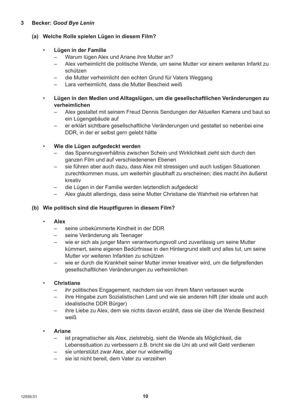#### **3 Becker:** *Good Bye Lenin*

#### **(a) Welche Rolle spielen Lügen in diesem Film?**

#### • **Lügen in der Familie**

- Warum lügen Alex und Ariane ihre Mutter an?
- Alex verheimlicht die politische Wende, um seine Mutter vor einem weiteren Infarkt zu schützen
- die Mutter verheimlicht den echten Grund für Vaters Weggang
- Lara verheimlicht, dass die Mutter Bescheid weiß
- **Lügen in den Medien und Alltagslügen, um die gesellschaftlichen Veränderungen zu verheimlichen** 
	- Alex gestaltet mit seinem Freud Dennis Sendungen der Aktuellen Kamera und baut so ein Lügengebäude auf
	- er erklärt sichtbare gesellschaftliche Veränderungen und gestaltet so nebenbei eine DDR, in der er selbst gern gelebt hätte

#### • **Wie die Lügen aufgedeckt werden**

- das Spannungsverhältnis zwischen Schein und Wirklichkeit zieht sich durch den ganzen Film und auf verschiedenenen Ebenen
- sie führen aber auch dazu, dass Alex mit stressigen und auch lustigen Situationen zurechtkommen muss, um weiterhin glaubhaft zu erscheinen; dies macht ihn äußerst kreativ
- die Lügen in der Familie werden letztendlich aufgedeckt
- Alex glaubt allerdings, dass seine Mutter Christiane die Wahrheit nie erfahren hat

#### **(b) Wie politisch sind die Hauptfiguren in diesem Film?**

#### • **Alex**

- seine unbekümmerte Kindheit in der DDR
- seine Veränderung als Teenager
- wie er sich als junger Mann verantwortungsvoll und zuverlässig um seine Mutter kümmert, seine eigenen Bedürfnisse in den Hintergrund stellt und alles tut, um seine Mutter vor weiteren Infarkten zu schützen
- wie er durch die Krankheit seiner Mutter immer kreativer wird, um die tiefgreifenden gesellschaftlichen Veränderungen zu verheimlichen
- **Christiane**
	- ihr politisches Engagement, nachdem sie von ihrem Mann verlassen wurde
	- ihre Hingabe zum Sozialistischen Land und wie sie anderen hilft (der ideale und auch idealistische DDR Bürger)
	- ihre Liebe zu Alex, dem sie nichts davon erzählt, dass sie über die Wende Bescheid weiß
- **Ariane**
	- ist pragmatischer als Alex, zielstrebig, sieht die Wende als Möglichkeit, die Lebenssituation zu verbessern z.B. bricht sie die Uni ab und will Geld verdienen
	- sie unterstützt zwar Alex, aber nur widerwillig
	- sie ist nicht bereit, dem Vater zu verzeihen